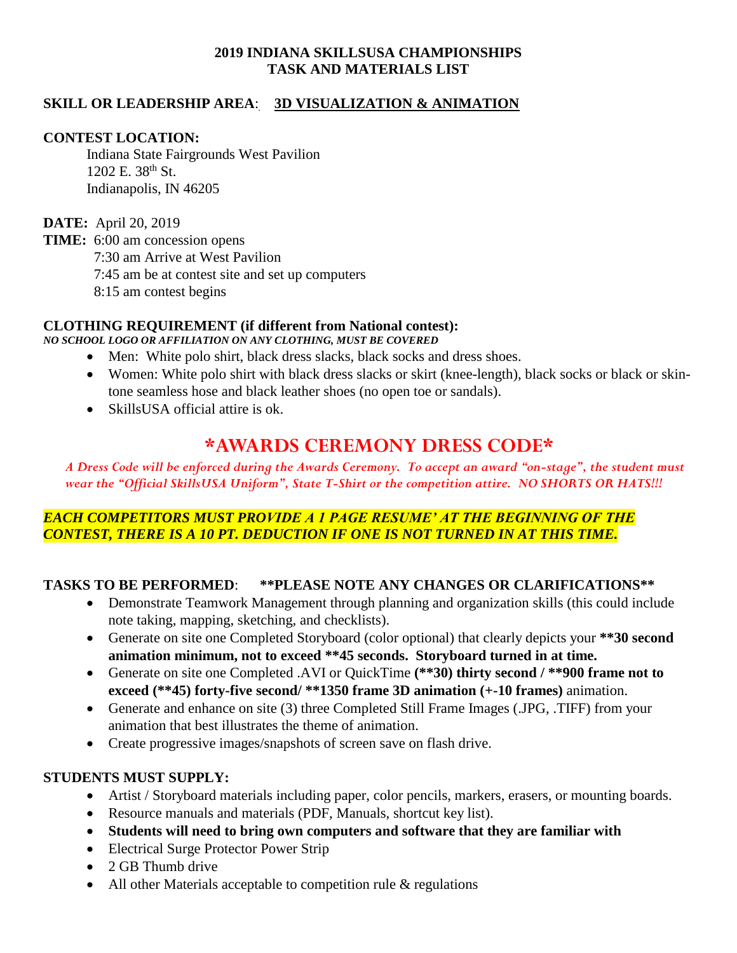# **2019 INDIANA SKILLSUSA CHAMPIONSHIPS TASK AND MATERIALS LIST**

# **SKILL OR LEADERSHIP AREA**: **3D VISUALIZATION & ANIMATION**

#### **CONTEST LOCATION:**

Indiana State Fairgrounds West Pavilion 1202 E. 38<sup>th</sup> St. Indianapolis, IN 46205

**DATE:** April 20, 2019

**TIME:** 6:00 am concession opens 7:30 am Arrive at West Pavilion 7:45 am be at contest site and set up computers

8:15 am contest begins

#### **CLOTHING REQUIREMENT (if different from National contest):**

#### *NO SCHOOL LOGO OR AFFILIATION ON ANY CLOTHING, MUST BE COVERED*

- Men: White polo shirt, black dress slacks, black socks and dress shoes.
- Women: White polo shirt with black dress slacks or skirt (knee-length), black socks or black or skintone seamless hose and black leather shoes (no open toe or sandals).
- SkillsUSA official attire is ok.

# **\*AWARDS CEREMONY DRESS CODE\***

*A Dress Code will be enforced during the Awards Ceremony. To accept an award "on-stage", the student must wear the "Official SkillsUSA Uniform", State T-Shirt or the competition attire. NO SHORTS OR HATS!!!*

# *EACH COMPETITORS MUST PROVIDE A 1 PAGE RESUME' AT THE BEGINNING OF THE CONTEST, THERE IS A 10 PT. DEDUCTION IF ONE IS NOT TURNED IN AT THIS TIME.*

## **TASKS TO BE PERFORMED**: **\*\*PLEASE NOTE ANY CHANGES OR CLARIFICATIONS\*\***

- Demonstrate Teamwork Management through planning and organization skills (this could include note taking, mapping, sketching, and checklists).
- Generate on site one Completed Storyboard (color optional) that clearly depicts your **\*\*30 second animation minimum, not to exceed \*\*45 seconds. Storyboard turned in at time.**
- Generate on site one Completed .AVI or QuickTime **(\*\*30) thirty second / \*\*900 frame not to exceed (\*\*45) forty-five second/ \*\*1350 frame 3D animation (+-10 frames)** animation.
- Generate and enhance on site (3) three Completed Still Frame Images (.JPG, .TIFF) from your animation that best illustrates the theme of animation.
- Create progressive images/snapshots of screen save on flash drive.

## **STUDENTS MUST SUPPLY:**

- Artist / Storyboard materials including paper, color pencils, markers, erasers, or mounting boards.
- Resource manuals and materials (PDF, Manuals, shortcut key list).
- **Students will need to bring own computers and software that they are familiar with**
- Electrical Surge Protector Power Strip
- 2 GB Thumb drive
- All other Materials acceptable to competition rule & regulations